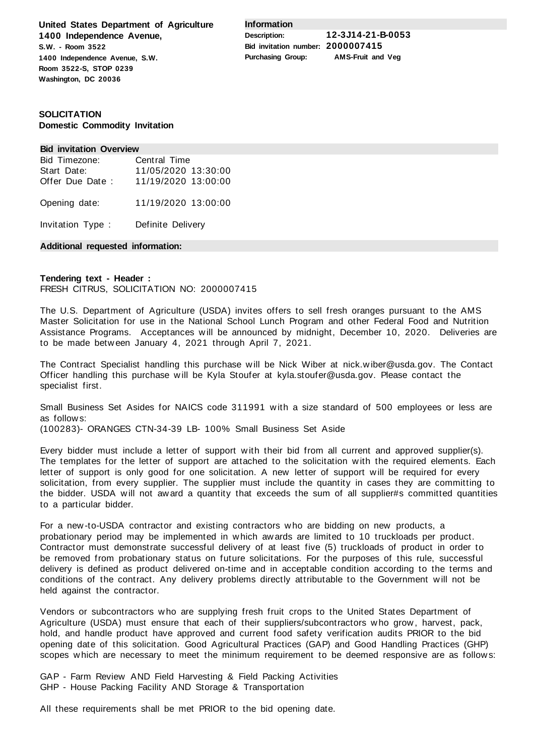**United States Department of Agriculture 1400 Independence Avenue, S.W. - Room 3522 1400 Independence Avenue, S.W. Room 3522-S, STOP 0239 Washington, DC 20036**

**Information**

**Description: 12-3J14-21-B-0053 Bid invitation number: 2000007415 Purchasing Group: AMS-Fruit and Veg**

# **SOLICITATION Domestic Commodity Invitation**

#### **Bid invitation Overview**

| Bid Timezone:   | Central Time        |
|-----------------|---------------------|
| Start Date:     | 11/05/2020 13:30:00 |
| Offer Due Date: | 11/19/2020 13:00:00 |
| Opening date:   | 11/19/2020 13:00:00 |

Invitation Type : Definite Delivery

# **Additional requested information:**

# **Tendering text - Header :** FRESH CITRUS, SOLICITATION NO: 2000007415

The U.S. Department of Agriculture (USDA) invites offers to sell fresh oranges pursuant to the AMS Master Solicitation for use in the National School Lunch Program and other Federal Food and Nutrition Assistance Programs. Acceptances will be announced by midnight, December 10, 2020. Deliveries are to be made between January 4, 2021 through April 7, 2021.

The Contract Specialist handling this purchase will be Nick Wiber at nick.wiber@usda.gov. The Contact Officer handling this purchase will be Kyla Stoufer at kyla.stoufer@usda.gov. Please contact the specialist first.

Small Business Set Asides for NAICS code 311991 with a size standard of 500 employees or less are as follows:

(100283)- ORANGES CTN-34-39 LB- 100% Small Business Set Aside

Every bidder must include a letter of support with their bid from all current and approved supplier(s). The templates for the letter of support are attached to the solicitation with the required elements. Each letter of support is only good for one solicitation. A new letter of support will be required for every solicitation, from every supplier. The supplier must include the quantity in cases they are committing to the bidder. USDA will not award a quantity that exceeds the sum of all supplier#s committed quantities to a particular bidder.

For a new-to-USDA contractor and existing contractors who are bidding on new products, a probationary period may be implemented in which awards are limited to 10 truckloads per product. Contractor must demonstrate successful delivery of at least five (5) truckloads of product in order to be removed from probationary status on future solicitations. For the purposes of this rule, successful delivery is defined as product delivered on-time and in acceptable condition according to the terms and conditions of the contract. Any delivery problems directly attributable to the Government will not be held against the contractor.

Vendors or subcontractors who are supplying fresh fruit crops to the United States Department of Agriculture (USDA) must ensure that each of their suppliers/subcontractors who grow, harvest, pack, hold, and handle product have approved and current food safety verification audits PRIOR to the bid opening date of this solicitation. Good Agricultural Practices (GAP) and Good Handling Practices (GHP) scopes which are necessary to meet the minimum requirement to be deemed responsive are as follows:

GAP - Farm Review AND Field Harvesting & Field Packing Activities GHP - House Packing Facility AND Storage & Transportation

All these requirements shall be met PRIOR to the bid opening date.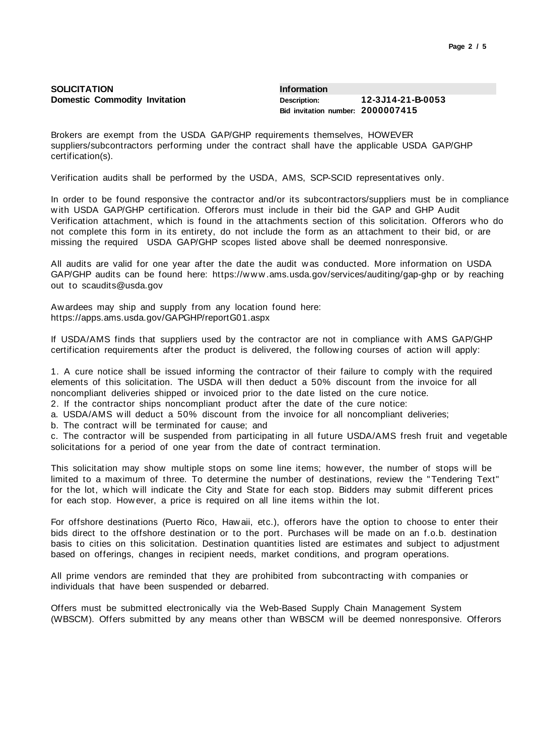| Page 2 / 5 |  |  |  |
|------------|--|--|--|
|------------|--|--|--|

| SOLICITATION                         | Information                       |                   |
|--------------------------------------|-----------------------------------|-------------------|
| <b>Domestic Commodity Invitation</b> | <b>Description:</b>               | 12-3J14-21-B-0053 |
|                                      | Bid invitation number: 2000007415 |                   |

Brokers are exempt from the USDA GAP/GHP requirements themselves, HOWEVER suppliers/subcontractors performing under the contract shall have the applicable USDA GAP/GHP certification(s).

Verification audits shall be performed by the USDA, AMS, SCP-SCID representatives only.

In order to be found responsive the contractor and/or its subcontractors/suppliers must be in compliance with USDA GAP/GHP certification. Offerors must include in their bid the GAP and GHP Audit Verification attachment, which is found in the attachments section of this solicitation. Offerors who do not complete this form in its entirety, do not include the form as an attachment to their bid, or are missing the required USDA GAP/GHP scopes listed above shall be deemed nonresponsive.

All audits are valid for one year after the date the audit was conducted. More information on USDA GAP/GHP audits can be found here: https://www.ams.usda.gov/services/auditing/gap-ghp or by reaching out to scaudits@usda.gov

Awardees may ship and supply from any location found here: https://apps.ams.usda.gov/GAPGHP/reportG01.aspx

If USDA/AMS finds that suppliers used by the contractor are not in compliance with AMS GAP/GHP certification requirements after the product is delivered, the following courses of action will apply:

1. A cure notice shall be issued informing the contractor of their failure to comply with the required elements of this solicitation. The USDA will then deduct a 50% discount from the invoice for all noncompliant deliveries shipped or invoiced prior to the date listed on the cure notice.

2. If the contractor ships noncompliant product after the date of the cure notice:

a. USDA/AMS will deduct a 50% discount from the invoice for all noncompliant deliveries;

b. The contract will be terminated for cause; and

c. The contractor will be suspended from participating in all future USDA/AMS fresh fruit and vegetable solicitations for a period of one year from the date of contract termination.

This solicitation may show multiple stops on some line items; however, the number of stops will be limited to a maximum of three. To determine the number of destinations, review the "Tendering Text" for the lot, which will indicate the City and State for each stop. Bidders may submit different prices for each stop. However, a price is required on all line items within the lot.

For offshore destinations (Puerto Rico, Hawaii, etc.), offerors have the option to choose to enter their bids direct to the offshore destination or to the port. Purchases will be made on an f.o.b. destination basis to cities on this solicitation. Destination quantities listed are estimates and subject to adjustment based on offerings, changes in recipient needs, market conditions, and program operations.

All prime vendors are reminded that they are prohibited from subcontracting with companies or individuals that have been suspended or debarred.

Offers must be submitted electronically via the Web-Based Supply Chain Management System (WBSCM). Offers submitted by any means other than WBSCM will be deemed nonresponsive. Offerors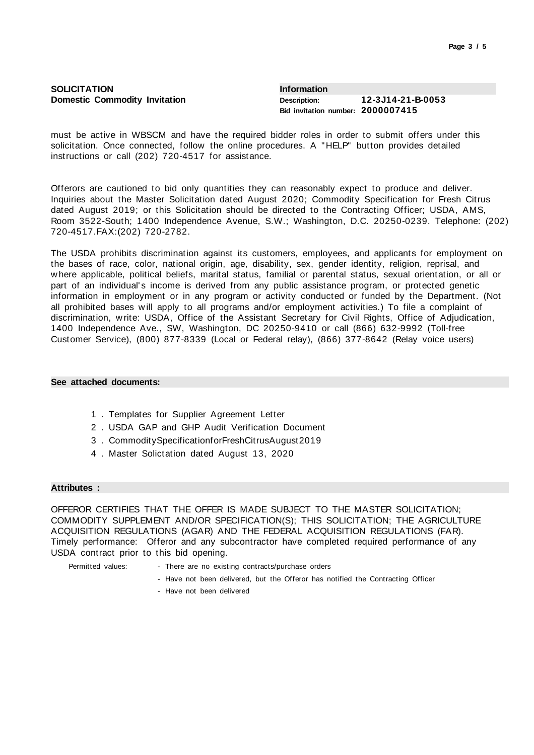| <b>SOLICITATION</b>                  | <b>Information</b>                |                   |  |
|--------------------------------------|-----------------------------------|-------------------|--|
| <b>Domestic Commodity Invitation</b> | Description:                      | 12-3J14-21-B-0053 |  |
|                                      | Bid invitation number: 2000007415 |                   |  |

must be active in WBSCM and have the required bidder roles in order to submit offers under this solicitation. Once connected, follow the online procedures. A "HELP" button provides detailed instructions or call (202) 720-4517 for assistance.

Offerors are cautioned to bid only quantities they can reasonably expect to produce and deliver. Inquiries about the Master Solicitation dated August 2020; Commodity Specification for Fresh Citrus dated August 2019; or this Solicitation should be directed to the Contracting Officer; USDA, AMS, Room 3522-South; 1400 Independence Avenue, S.W.; Washington, D.C. 20250-0239. Telephone: (202) 720-4517.FAX:(202) 720-2782.

The USDA prohibits discrimination against its customers, employees, and applicants for employment on the bases of race, color, national origin, age, disability, sex, gender identity, religion, reprisal, and where applicable, political beliefs, marital status, familial or parental status, sexual orientation, or all or part of an individual's income is derived from any public assistance program, or protected genetic information in employment or in any program or activity conducted or funded by the Department. (Not all prohibited bases will apply to all programs and/or employment activities.) To file a complaint of discrimination, write: USDA, Office of the Assistant Secretary for Civil Rights, Office of Adjudication, 1400 Independence Ave., SW, Washington, DC 20250-9410 or call (866) 632-9992 (Toll-free Customer Service), (800) 877-8339 (Local or Federal relay), (866) 377-8642 (Relay voice users)

### **See attached documents:**

- 1 . Templates for Supplier Agreement Letter
- 2 . USDA GAP and GHP Audit Verification Document
- 3 . CommoditySpecificationforFreshCitrusAugust2019
- 4 . Master Solictation dated August 13, 2020

### **Attributes :**

OFFEROR CERTIFIES THAT THE OFFER IS MADE SUBJECT TO THE MASTER SOLICITATION; COMMODITY SUPPLEMENT AND/OR SPECIFICATION(S); THIS SOLICITATION; THE AGRICULTURE ACQUISITION REGULATIONS (AGAR) AND THE FEDERAL ACQUISITION REGULATIONS (FAR). Timely performance: Offeror and any subcontractor have completed required performance of any USDA contract prior to this bid opening.

- Permitted values: There are no existing contracts/purchase orders
	- Have not been delivered, but the Offeror has notified the Contracting Officer
	- Have not been delivered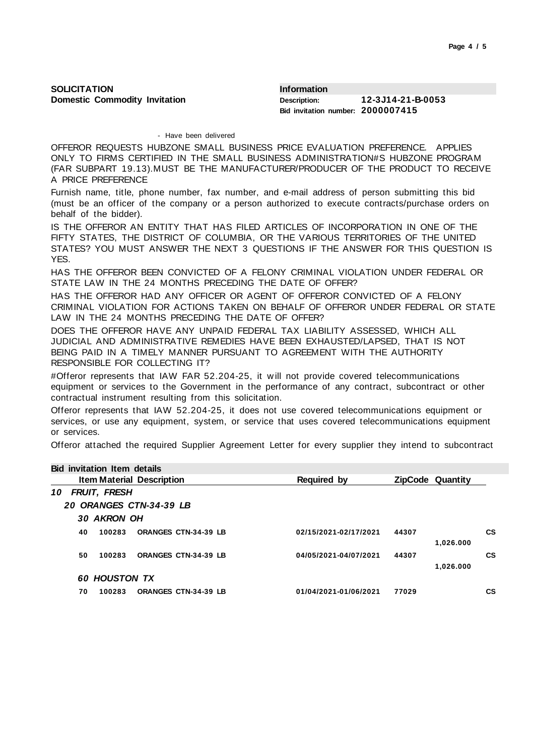| <b>SOLICITATION</b>                  | <b>Information</b>                |                   |
|--------------------------------------|-----------------------------------|-------------------|
| <b>Domestic Commodity Invitation</b> | Description:                      | 12-3J14-21-B-0053 |
|                                      | Bid invitation number: 2000007415 |                   |

#### - Have been delivered

OFFEROR REQUESTS HUBZONE SMALL BUSINESS PRICE EVALUATION PREFERENCE. APPLIES ONLY TO FIRMS CERTIFIED IN THE SMALL BUSINESS ADMINISTRATION#S HUBZONE PROGRAM (FAR SUBPART 19.13).MUST BE THE MANUFACTURER/PRODUCER OF THE PRODUCT TO RECEIVE A PRICE PREFERENCE

Furnish name, title, phone number, fax number, and e-mail address of person submitting this bid (must be an officer of the company or a person authorized to execute contracts/purchase orders on behalf of the bidder).

IS THE OFFEROR AN ENTITY THAT HAS FILED ARTICLES OF INCORPORATION IN ONE OF THE FIFTY STATES, THE DISTRICT OF COLUMBIA, OR THE VARIOUS TERRITORIES OF THE UNITED STATES? YOU MUST ANSWER THE NEXT 3 QUESTIONS IF THE ANSWER FOR THIS QUESTION IS YES.

HAS THE OFFEROR BEEN CONVICTED OF A FELONY CRIMINAL VIOLATION UNDER FEDERAL OR STATE LAW IN THE 24 MONTHS PRECEDING THE DATE OF OFFER?

HAS THE OFFEROR HAD ANY OFFICER OR AGENT OF OFFEROR CONVICTED OF A FELONY CRIMINAL VIOLATION FOR ACTIONS TAKEN ON BEHALF OF OFFEROR UNDER FEDERAL OR STATE LAW IN THE 24 MONTHS PRECEDING THE DATE OF OFFER?

DOES THE OFFEROR HAVE ANY UNPAID FEDERAL TAX LIABILITY ASSESSED, WHICH ALL JUDICIAL AND ADMINISTRATIVE REMEDIES HAVE BEEN EXHAUSTED/LAPSED, THAT IS NOT BEING PAID IN A TIMELY MANNER PURSUANT TO AGREEMENT WITH THE AUTHORITY RESPONSIBLE FOR COLLECTING IT?

#Offeror represents that IAW FAR 52.204-25, it will not provide covered telecommunications equipment or services to the Government in the performance of any contract, subcontract or other contractual instrument resulting from this solicitation.

Offeror represents that IAW 52.204-25, it does not use covered telecommunications equipment or services, or use any equipment, system, or service that uses covered telecommunications equipment or services.

Offeror attached the required Supplier Agreement Letter for every supplier they intend to subcontract

|    |        |                             | Required by                                                                                                                                              |       |           |                         |
|----|--------|-----------------------------|----------------------------------------------------------------------------------------------------------------------------------------------------------|-------|-----------|-------------------------|
| 10 |        |                             |                                                                                                                                                          |       |           |                         |
|    |        |                             |                                                                                                                                                          |       |           |                         |
|    |        |                             |                                                                                                                                                          |       |           |                         |
| 40 | 100283 | <b>ORANGES CTN-34-39 LB</b> | 02/15/2021-02/17/2021                                                                                                                                    | 44307 |           | CS.                     |
|    |        |                             |                                                                                                                                                          |       | 1,026.000 |                         |
| 50 | 100283 | <b>ORANGES CTN-34-39 LB</b> | 04/05/2021-04/07/2021                                                                                                                                    | 44307 |           | <b>CS</b>               |
|    |        |                             |                                                                                                                                                          |       | 1,026.000 |                         |
|    |        |                             |                                                                                                                                                          |       |           |                         |
| 70 | 100283 | <b>ORANGES CTN-34-39 LB</b> | 01/04/2021-01/06/2021                                                                                                                                    | 77029 |           | CS                      |
|    |        |                             | <b>Bid invitation Item details</b><br><b>Item Material Description</b><br>FRUIT, FRESH<br>20 ORANGES CTN-34-39 LB<br>30 AKRON OH<br><b>60 HOUSTON TX</b> |       |           | <b>ZipCode Quantity</b> |